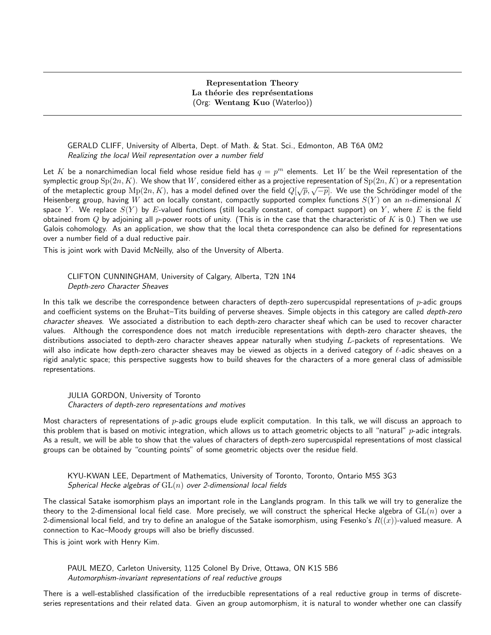Representation Theory La théorie des représentations (Org: Wentang Kuo (Waterloo))

GERALD CLIFF, University of Alberta, Dept. of Math. & Stat. Sci., Edmonton, AB T6A 0M2 Realizing the local Weil representation over a number field

Let  $K$  be a nonarchimedian local field whose residue field has  $q=p^m$  elements. Let  $W$  be the Weil representation of the symplectic group  $Sp(2n, K)$ . We show that W, considered either as a projective representation of  $Sp(2n, K)$  or a representation Symplectic group  $Sp(2n, K)$ . We show that w, considered entier as a projective representation or  $Sp(2n, K)$  or a representation<br>of the metaplectic group  $Mp(2n, K)$ , has a model defined over the field  $Q[\sqrt{p}, \sqrt{-p}]$ . We use th Heisenberg group, having W act on locally constant, compactly supported complex functions  $S(Y)$  on an n-dimensional K space Y. We replace  $S(Y)$  by E-valued functions (still locally constant, of compact support) on Y, where E is the field obtained from Q by adjoining all p-power roots of unity. (This is in the case that the characteristic of K is 0.) Then we use Galois cohomology. As an application, we show that the local theta correspondence can also be defined for representations over a number field of a dual reductive pair.

This is joint work with David McNeilly, also of the Unversity of Alberta.

CLIFTON CUNNINGHAM, University of Calgary, Alberta, T2N 1N4 Depth-zero Character Sheaves

In this talk we describe the correspondence between characters of depth-zero supercuspidal representations of  $p$ -adic groups and coefficient systems on the Bruhat–Tits building of perverse sheaves. Simple objects in this category are called *depth-zero* character sheaves. We associated a distribution to each depth-zero character sheaf which can be used to recover character values. Although the correspondence does not match irreducible representations with depth-zero character sheaves, the distributions associated to depth-zero character sheaves appear naturally when studying L-packets of representations. We will also indicate how depth-zero character sheaves may be viewed as objects in a derived category of  $\ell$ -adic sheaves on a rigid analytic space; this perspective suggests how to build sheaves for the characters of a more general class of admissible representations.

JULIA GORDON, University of Toronto Characters of depth-zero representations and motives

Most characters of representations of  $p$ -adic groups elude explicit computation. In this talk, we will discuss an approach to this problem that is based on motivic integration, which allows us to attach geometric objects to all "natural" p-adic integrals. As a result, we will be able to show that the values of characters of depth-zero supercuspidal representations of most classical groups can be obtained by "counting points" of some geometric objects over the residue field.

KYU-KWAN LEE, Department of Mathematics, University of Toronto, Toronto, Ontario M5S 3G3 Spherical Hecke algebras of  $GL(n)$  over 2-dimensional local fields

The classical Satake isomorphism plays an important role in the Langlands program. In this talk we will try to generalize the theory to the 2-dimensional local field case. More precisely, we will construct the spherical Hecke algebra of  $GL(n)$  over a 2-dimensional local field, and try to define an analogue of the Satake isomorphism, using Fesenko's  $R((x))$ -valued measure. A connection to Kac–Moody groups will also be briefly discussed.

This is joint work with Henry Kim.

PAUL MEZO, Carleton University, 1125 Colonel By Drive, Ottawa, ON K1S 5B6 Automorphism-invariant representations of real reductive groups

There is a well-established classification of the irreducbible representations of a real reductive group in terms of discreteseries representations and their related data. Given an group automorphism, it is natural to wonder whether one can classify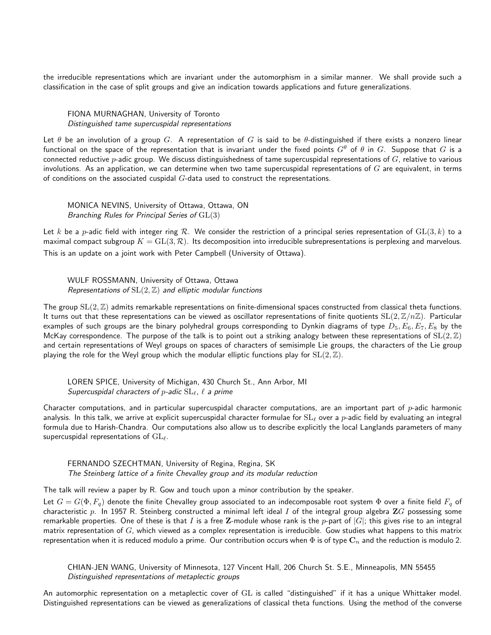the irreducible representations which are invariant under the automorphism in a similar manner. We shall provide such a classification in the case of split groups and give an indication towards applications and future generalizations.

## FIONA MURNAGHAN, University of Toronto Distinguished tame supercuspidal representations

Let  $\theta$  be an involution of a group G. A representation of G is said to be  $\theta$ -distinguished if there exists a nonzero linear functional on the space of the representation that is invariant under the fixed points  $G^{\theta}$  of  $\theta$  in  $G$ . Suppose that  $G$  is a connected reductive  $p$ -adic group. We discuss distinguishedness of tame supercuspidal representations of  $G$ , relative to various involutions. As an application, we can determine when two tame supercuspidal representations of  $G$  are equivalent, in terms of conditions on the associated cuspidal  $G$ -data used to construct the representations.

MONICA NEVINS, University of Ottawa, Ottawa, ON Branching Rules for Principal Series of GL(3)

Let k be a p-adic field with integer ring R. We consider the restriction of a principal series representation of  $GL(3, k)$  to a maximal compact subgroup  $K = GL(3, \mathcal{R})$ . Its decomposition into irreducible subrepresentations is perplexing and marvelous. This is an update on a joint work with Peter Campbell (University of Ottawa).

WULF ROSSMANN, University of Ottawa, Ottawa Representations of  $SL(2, \mathbb{Z})$  and elliptic modular functions

The group  $SL(2,\mathbb{Z})$  admits remarkable representations on finite-dimensional spaces constructed from classical theta functions. It turns out that these representations can be viewed as oscillator representations of finite quotients  $SL(2,\mathbb{Z}/n\mathbb{Z})$ . Particular examples of such groups are the binary polyhedral groups corresponding to Dynkin diagrams of type  $D_5, E_6, E_7, E_8$  by the McKay correspondence. The purpose of the talk is to point out a striking analogy between these representations of  $SL(2,\mathbb{Z})$ and certain representations of Weyl groups on spaces of characters of semisimple Lie groups, the characters of the Lie group playing the role for the Weyl group which the modular elliptic functions play for  $SL(2,\mathbb{Z})$ .

LOREN SPICE, University of Michigan, 430 Church St., Ann Arbor, MI Supercuspidal characters of p-adic  $SL_\ell$ ,  $\ell$  a prime

Character computations, and in particular supercuspidal character computations, are an important part of  $p$ -adic harmonic analysis. In this talk, we arrive at explicit supercuspidal character formulae for  $SL_\ell$  over a p-adic field by evaluating an integral formula due to Harish-Chandra. Our computations also allow us to describe explicitly the local Langlands parameters of many supercuspidal representations of  $GL_{\ell}$ .

FERNANDO SZECHTMAN, University of Regina, Regina, SK The Steinberg lattice of a finite Chevalley group and its modular reduction

The talk will review a paper by R. Gow and touch upon a minor contribution by the speaker.

Let  $G = G(\Phi, F_q)$  denote the finite Chevalley group associated to an indecomposable root system  $\Phi$  over a finite field  $F_q$  of characteristic p. In 1957 R. Steinberg constructed a minimal left ideal I of the integral group algebra  $\mathbb{Z}G$  possessing some remarkable properties. One of these is that I is a free Z-module whose rank is the p-part of  $|G|$ ; this gives rise to an integral matrix representation of  $G$ , which viewed as a complex representation is irreducible. Gow studies what happens to this matrix representation when it is reduced modulo a prime. Our contribution occurs when  $\Phi$  is of type  $\mathbf{C}_n$  and the reduction is modulo 2.

CHIAN-JEN WANG, University of Minnesota, 127 Vincent Hall, 206 Church St. S.E., Minneapolis, MN 55455 Distinguished representations of metaplectic groups

An automorphic representation on a metaplectic cover of GL is called "distinguished" if it has a unique Whittaker model. Distinguished representations can be viewed as generalizations of classical theta functions. Using the method of the converse